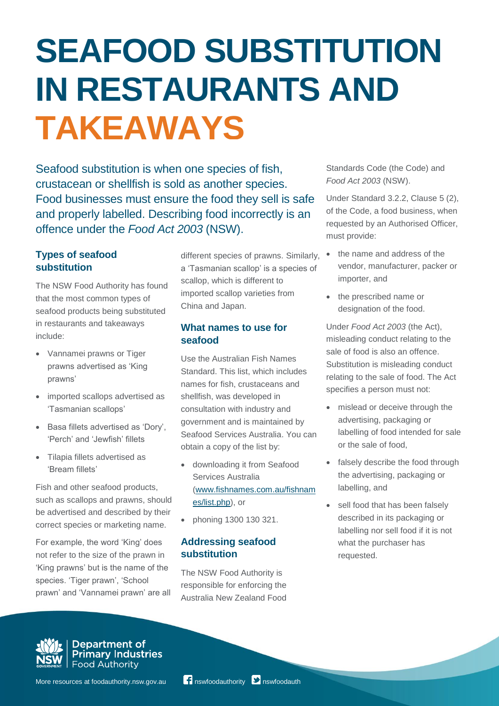# **SEAFOOD SUBSTITUTION IN RESTAURANTS AND TAKEAWAYS**

Seafood substitution is when one species of fish, crustacean or shellfish is sold as another species. Food businesses must ensure the food they sell is safe and properly labelled. Describing food incorrectly is an offence under the *Food Act 2003* (NSW).

# **Types of seafood substitution**

The NSW Food Authority has found that the most common types of seafood products being substituted in restaurants and takeaways include:

- Vannamei prawns or Tiger prawns advertised as 'King prawns'
- imported scallops advertised as 'Tasmanian scallops'
- Basa fillets advertised as 'Dory', 'Perch' and 'Jewfish' fillets
- Tilapia fillets advertised as 'Bream fillets'

Fish and other seafood products, such as scallops and prawns, should be advertised and described by their correct species or marketing name.

For example, the word 'King' does not refer to the size of the prawn in 'King prawns' but is the name of the species. 'Tiger prawn', 'School prawn' and 'Vannamei prawn' are all

different species of prawns. Similarly,  $\bullet$ a 'Tasmanian scallop' is a species of scallop, which is different to imported scallop varieties from China and Japan.

# **What names to use for seafood**

Use the Australian Fish Names Standard. This list, which includes names for fish, crustaceans and shellfish, was developed in consultation with industry and government and is maintained by Seafood Services Australia. You can obtain a copy of the list by:

- downloading it from Seafood Services Australia [\(www.fishnames.com.au/fishnam](http://www.fishnames.com.au/fishnames/list.php) [es/list.php\)](http://www.fishnames.com.au/fishnames/list.php), or
- phoning 1300 130 321.

# **Addressing seafood substitution**

The NSW Food Authority is responsible for enforcing the Australia New Zealand Food Standards Code (the Code) and *Food Act 2003* (NSW).

Under Standard 3.2.2, Clause 5 (2), of the Code, a food business, when requested by an Authorised Officer, must provide:

- the name and address of the vendor, manufacturer, packer or importer, and
- the prescribed name or designation of the food.

Under *Food Act 2003* (the Act), misleading conduct relating to the sale of food is also an offence. Substitution is misleading conduct relating to the sale of food. The Act specifies a person must not:

- mislead or deceive through the advertising, packaging or labelling of food intended for sale or the sale of food,
- falsely describe the food through the advertising, packaging or labelling, and
- sell food that has been falsely described in its packaging or labelling nor sell food if it is not what the purchaser has requested.



**Department of<br>Primary Industries**<br>Food Authority